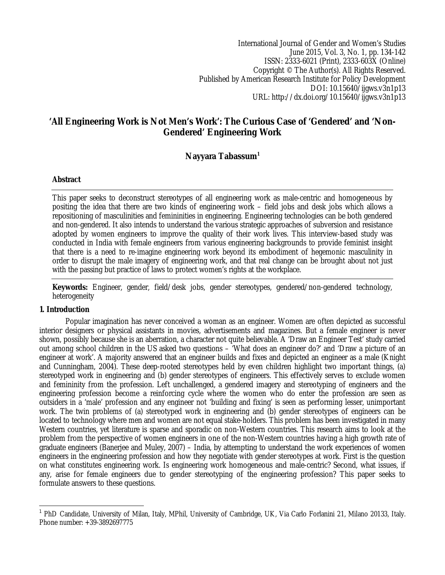International Journal of Gender and Women's Studies June 2015, Vol. 3, No. 1, pp. 134-142 ISSN: 2333-6021 (Print), 2333-603X (Online) Copyright © The Author(s). All Rights Reserved. Published by American Research Institute for Policy Development DOI: 10.15640/ijgws.v3n1p13 URL: http://dx.doi.org/10.15640/ijgws.v3n1p13

# **'All Engineering Work is Not Men's Work': The Curious Case of 'Gendered' and 'Non-Gendered' Engineering Work**

# **Nayyara Tabassum<sup>1</sup>**

### **Abstract**

This paper seeks to deconstruct stereotypes of all engineering work as male-centric and homogeneous by positing the idea that there are two kinds of engineering work – field jobs and desk jobs which allows a repositioning of masculinities and femininities in engineering. Engineering technologies can be both gendered and non-gendered. It also intends to understand the various strategic approaches of subversion and resistance adopted by women engineers to improve the quality of their work lives. This interview-based study was conducted in India with female engineers from various engineering backgrounds to provide feminist insight that there is a need to re-imagine engineering work beyond its embodiment of hegemonic masculinity in order to disrupt the male imagery of engineering work, and that real change can be brought about not just with the passing but practice of laws to protect women's rights at the workplace.

**Keywords:** Engineer, gender, field/desk jobs, gender stereotypes, gendered/non-gendered technology, heterogeneity

### **1. Introduction**

 $\overline{\phantom{a}}$ 

Popular imagination has never conceived a woman as an engineer. Women are often depicted as successful interior designers or physical assistants in movies, advertisements and magazines. But a female engineer is never shown, possibly because she is an aberration, a character not quite believable. A 'Draw an Engineer Test' study carried out among school children in the US asked two questions – 'What does an engineer do?' and 'Draw a picture of an engineer at work'. A majority answered that an engineer builds and fixes and depicted an engineer as a male (Knight and Cunningham, 2004). These deep-rooted stereotypes held by even children highlight two important things, (a) stereotyped work in engineering and (b) gender stereotypes of engineers. This effectively serves to exclude women and femininity from the profession. Left unchallenged, a gendered imagery and stereotyping of engineers and the engineering profession become a reinforcing cycle where the women who do enter the profession are seen as outsiders in a 'male' profession and any engineer not 'building and fixing' is seen as performing lesser, unimportant work. The twin problems of (a) stereotyped work in engineering and (b) gender stereotypes of engineers can be located to technology where men and women are not equal stake-holders. This problem has been investigated in many Western countries, yet literature is sparse and sporadic on non-Western countries. This research aims to look at the problem from the perspective of women engineers in one of the non-Western countries having a high growth rate of graduate engineers (Banerjee and Muley, 2007) – India, by attempting to understand the work experiences of women engineers in the engineering profession and how they negotiate with gender stereotypes at work. First is the question on what constitutes engineering work. Is engineering work homogeneous and male-centric? Second, what issues, if any, arise for female engineers due to gender stereotyping of the engineering profession? This paper seeks to formulate answers to these questions.

<sup>1</sup> PhD Candidate, University of Milan, Italy, MPhil, University of Cambridge, UK, Via Carlo Forlanini 21, Milano 20133, Italy. Phone number: +39-3892697775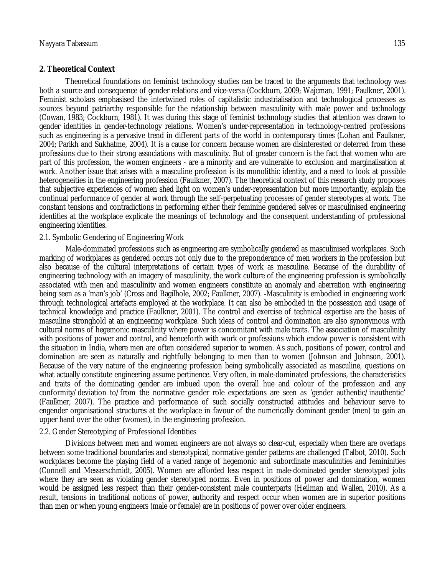### **2. Theoretical Context**

Theoretical foundations on feminist technology studies can be traced to the arguments that technology was both a source and consequence of gender relations and vice-versa (Cockburn, 2009; Wajcman, 1991; Faulkner, 2001). Feminist scholars emphasised the intertwined roles of capitalistic industrialisation and technological processes as sources beyond patriarchy responsible for the relationship between masculinity with male power and technology (Cowan, 1983; Cockburn, 1981). It was during this stage of feminist technology studies that attention was drawn to gender identities in gender-technology relations. Women's under-representation in technology-centred professions such as engineering is a pervasive trend in different parts of the world in contemporary times (Lohan and Faulkner, 2004; Parikh and Sukhatme, 2004). It is a cause for concern because women are disinterested or deterred from these professions due to their strong associations with masculinity. But of greater concern is the fact that women who are part of this profession, the women engineers - are a minority and are vulnerable to exclusion and marginalisation at work. Another issue that arises with a masculine profession is its monolithic identity, and a need to look at possible heterogeneities in the engineering profession (Faulkner, 2007). The theoretical context of this research study proposes that subjective experiences of women shed light on women's under-representation but more importantly, explain the continual performance of gender at work through the self-perpetuating processes of gender stereotypes at work. The constant tensions and contradictions in performing either their feminine gendered selves or masculinised engineering identities at the workplace explicate the meanings of technology and the consequent understanding of professional engineering identities.

### 2.1. Symbolic Gendering of Engineering Work

Male-dominated professions such as engineering are symbolically gendered as masculinised workplaces. Such marking of workplaces as gendered occurs not only due to the preponderance of men workers in the profession but also because of the cultural interpretations of certain types of work as masculine. Because of the durability of engineering technology with an imagery of masculinity, the work culture of the engineering profession is symbolically associated with men and masculinity and women engineers constitute an anomaly and aberration with engineering being seen as a 'man's job' (Cross and Bagilhole, 2002; Faulkner, 2007). Masculinity is embodied in engineering work through technological artefacts employed at the workplace. It can also be embodied in the possession and usage of technical knowledge and practice (Faulkner, 2001). The control and exercise of technical expertise are the bases of masculine stronghold at an engineering workplace. Such ideas of control and domination are also synonymous with cultural norms of hegemonic masculinity where power is concomitant with male traits. The association of masculinity with positions of power and control, and henceforth with work or professions which endow power is consistent with the situation in India, where men are often considered superior to women. As such, positions of power, control and domination are seen as naturally and rightfully belonging to men than to women (Johnson and Johnson, 2001). Because of the very nature of the engineering profession being symbolically associated as masculine, questions on what actually constitute engineering assume pertinence. Very often, in male-dominated professions, the characteristics and traits of the dominating gender are imbued upon the overall hue and colour of the profession and any conformity/deviation to/from the normative gender role expectations are seen as 'gender authentic/inauthentic' (Faulkner, 2007). The practice and performance of such socially constructed attitudes and behaviour serve to engender organisational structures at the workplace in favour of the numerically dominant gender (men) to gain an upper hand over the other (women), in the engineering profession.

### 2.2. Gender Stereotyping of Professional Identities

Divisions between men and women engineers are not always so clear-cut, especially when there are overlaps between some traditional boundaries and stereotypical, normative gender patterns are challenged (Talbot, 2010). Such workplaces become the playing field of a varied range of hegemonic and subordinate masculinities and femininities (Connell and Messerschmidt, 2005). Women are afforded less respect in male-dominated gender stereotyped jobs where they are seen as violating gender stereotyped norms. Even in positions of power and domination, women would be assigned less respect than their gender-consistent male counterparts (Heilman and Wallen, 2010). As a result, tensions in traditional notions of power, authority and respect occur when women are in superior positions than men or when young engineers (male or female) are in positions of power over older engineers.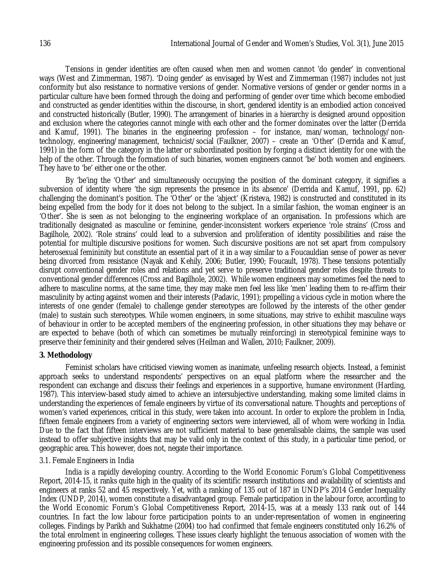Tensions in gender identities are often caused when men and women cannot 'do gender' in conventional ways (West and Zimmerman, 1987). 'Doing gender' as envisaged by West and Zimmerman (1987) includes not just conformity but also resistance to normative versions of gender. Normative versions of gender or gender norms in a particular culture have been formed through the doing and performing of gender over time which become embodied and constructed as gender identities within the discourse, in short, gendered identity is an embodied action conceived and constructed historically (Butler, 1990). The arrangement of binaries in a hierarchy is designed around opposition and exclusion where the categories cannot mingle with each other and the former dominates over the latter (Derrida and Kamuf, 1991). The binaries in the engineering profession – for instance, man/woman, technology/nontechnology, engineering/management, technicist/social (Faulkner, 2007) – create an 'Other' (Derrida and Kamuf, 1991) in the form of the category in the latter or subordinated position by forging a distinct identity for one with the help of the other. Through the formation of such binaries, women engineers cannot 'be' both women and engineers. They have to 'be' either one or the other.

By 'be'ing the 'Other' and simultaneously occupying the position of the dominant category, it signifies a subversion of identity where 'the sign represents the presence in its absence' (Derrida and Kamuf, 1991, pp. 62) challenging the dominant's position. The 'Other' or the 'abject' (Kristeva, 1982) is constructed and constituted in its being expelled from the body for it does not belong to the subject. In a similar fashion, the woman engineer is an 'Other'. She is seen as not belonging to the engineering workplace of an organisation. In professions which are traditionally designated as masculine or feminine, gender-inconsistent workers experience 'role strains' (Cross and Bagilhole, 2002). 'Role strains' could lead to a subversion and proliferation of identity possibilities and raise the potential for multiple discursive positions for women. Such discursive positions are not set apart from compulsory heterosexual femininity but constitute an essential part of it in a way similar to a Foucauldian sense of power as never being divorced from resistance (Nayak and Kehily, 2006; Butler, 1990; Foucault, 1978). These tensions potentially disrupt conventional gender roles and relations and yet serve to preserve traditional gender roles despite threats to conventional gender differences (Cross and Bagilhole, 2002). While women engineers may sometimes feel the need to adhere to masculine norms, at the same time, they may make men feel less like 'men' leading them to re-affirm their masculinity by acting against women and their interests (Padavic, 1991); propelling a vicious cycle in motion where the interests of one gender (female) to challenge gender stereotypes are followed by the interests of the other gender (male) to sustain such stereotypes. While women engineers, in some situations, may strive to exhibit masculine ways of behaviour in order to be accepted members of the engineering profession, in other situations they may behave or are expected to behave (both of which can sometimes be mutually reinforcing) in stereotypical feminine ways to preserve their femininity and their gendered selves (Heilman and Wallen, 2010; Faulkner, 2009).

### **3. Methodology**

Feminist scholars have criticised viewing women as inanimate, unfeeling research objects. Instead, a feminist approach seeks to understand respondents' perspectives on an equal platform where the researcher and the respondent can exchange and discuss their feelings and experiences in a supportive, humane environment (Harding, 1987). This interview-based study aimed to achieve an intersubjective understanding, making some limited claims in understanding the experiences of female engineers by virtue of its conversational nature. Thoughts and perceptions of women's varied experiences, critical in this study, were taken into account. In order to explore the problem in India, fifteen female engineers from a variety of engineering sectors were interviewed, all of whom were working in India. Due to the fact that fifteen interviews are not sufficient material to base generalisable claims, the sample was used instead to offer subjective insights that may be valid only in the context of this study, in a particular time period, or geographic area. This however, does not, negate their importance.

### 3.1. Female Engineers in India

India is a rapidly developing country. According to the World Economic Forum's Global Competitiveness Report, 2014-15, it ranks quite high in the quality of its scientific research institutions and availability of scientists and engineers at ranks 52 and 45 respectively. Yet, with a ranking of 135 out of 187 in UNDP's 2014 Gender Inequality Index (UNDP, 2014), women constitute a disadvantaged group. Female participation in the labour force, according to the World Economic Forum's Global Competitiveness Report, 2014-15, was at a measly 133 rank out of 144 countries. In fact the low labour force participation points to an under-representation of women in engineering colleges. Findings by Parikh and Sukhatme (2004) too had confirmed that female engineers constituted only 16.2% of the total enrolment in engineering colleges. These issues clearly highlight the tenuous association of women with the engineering profession and its possible consequences for women engineers.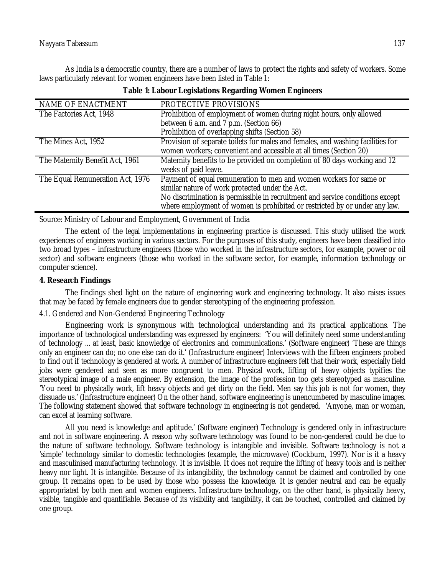As India is a democratic country, there are a number of laws to protect the rights and safety of workers. Some laws particularly relevant for women engineers have been listed in Table 1:

| NAME OF ENACTMENT                | PROTECTIVE PROVISIONS                                                                                                                                                                                                                                                                |  |  |
|----------------------------------|--------------------------------------------------------------------------------------------------------------------------------------------------------------------------------------------------------------------------------------------------------------------------------------|--|--|
| The Factories Act, 1948          | Prohibition of employment of women during night hours, only allowed                                                                                                                                                                                                                  |  |  |
|                                  | between 6 a.m. and 7 p.m. (Section 66)                                                                                                                                                                                                                                               |  |  |
|                                  | Prohibition of overlapping shifts (Section 58)                                                                                                                                                                                                                                       |  |  |
| The Mines Act, 1952              | Provision of separate toilets for males and females, and washing facilities for<br>women workers; convenient and accessible at all times (Section 20)                                                                                                                                |  |  |
| The Maternity Benefit Act, 1961  | Maternity benefits to be provided on completion of 80 days working and 12<br>weeks of paid leave.                                                                                                                                                                                    |  |  |
| The Equal Remuneration Act, 1976 | Payment of equal remuneration to men and women workers for same or<br>similar nature of work protected under the Act.<br>No discrimination is permissible in recruitment and service conditions except<br>where employment of women is prohibited or restricted by or under any law. |  |  |

| Table 1: Labour Legislations Regarding Women Engineers |  |  |  |  |
|--------------------------------------------------------|--|--|--|--|
|--------------------------------------------------------|--|--|--|--|

Source: Ministry of Labour and Employment, Government of India

The extent of the legal implementations in engineering practice is discussed. This study utilised the work experiences of engineers working in various sectors. For the purposes of this study, engineers have been classified into two broad types – infrastructure engineers (those who worked in the infrastructure sectors, for example, power or oil sector) and software engineers (those who worked in the software sector, for example, information technology or computer science).

## **4. Research Findings**

The findings shed light on the nature of engineering work and engineering technology. It also raises issues that may be faced by female engineers due to gender stereotyping of the engineering profession.

## 4.1. Gendered and Non-Gendered Engineering Technology

Engineering work is synonymous with technological understanding and its practical applications. The importance of technological understanding was expressed by engineers: 'You will definitely need some understanding of technology ... at least, basic knowledge of electronics and communications.' (Software engineer) 'These are things only an engineer can do; no one else can do it.' (Infrastructure engineer) Interviews with the fifteen engineers probed to find out if technology is gendered at work. A number of infrastructure engineers felt that their work, especially field jobs were gendered and seen as more congruent to men. Physical work, lifting of heavy objects typifies the stereotypical image of a male engineer. By extension, the image of the profession too gets stereotyped as masculine. 'You need to physically work, lift heavy objects and get dirty on the field. Men say this job is not for women, they dissuade us.' (Infrastructure engineer) On the other hand, software engineering is unencumbered by masculine images. The following statement showed that software technology in engineering is not gendered. 'Anyone, man or woman, can excel at learning software.

All you need is knowledge and aptitude.' (Software engineer) Technology is gendered only in infrastructure and not in software engineering. A reason why software technology was found to be non-gendered could be due to the nature of software technology. Software technology is intangible and invisible. Software technology is not a 'simple' technology similar to domestic technologies (example, the microwave) (Cockburn, 1997). Nor is it a heavy and masculinised manufacturing technology. It is invisible. It does not require the lifting of heavy tools and is neither heavy nor light. It is intangible. Because of its intangibility, the technology cannot be claimed and controlled by one group. It remains open to be used by those who possess the knowledge. It is gender neutral and can be equally appropriated by both men and women engineers. Infrastructure technology, on the other hand, is physically heavy, visible, tangible and quantifiable. Because of its visibility and tangibility, it can be touched, controlled and claimed by one group.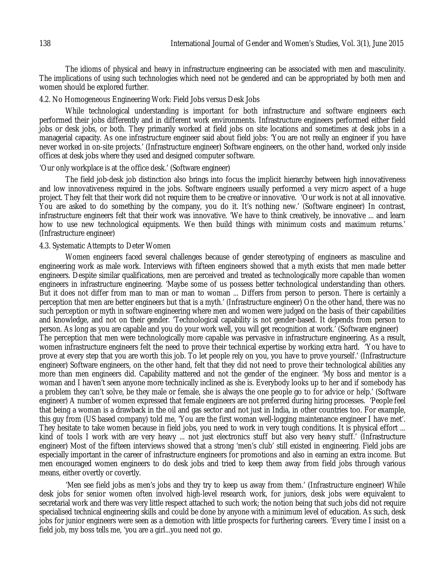The idioms of physical and heavy in infrastructure engineering can be associated with men and masculinity. The implications of using such technologies which need not be gendered and can be appropriated by both men and women should be explored further.

### 4.2. No Homogeneous Engineering Work: Field Jobs versus Desk Jobs

While technological understanding is important for both infrastructure and software engineers each performed their jobs differently and in different work environments. Infrastructure engineers performed either field jobs or desk jobs, or both. They primarily worked at field jobs on site locations and sometimes at desk jobs in a managerial capacity. As one infrastructure engineer said about field jobs: 'You are not really an engineer if you have never worked in on-site projects.' (Infrastructure engineer) Software engineers, on the other hand, worked only inside offices at desk jobs where they used and designed computer software.

### 'Our only workplace is at the office desk.' (Software engineer)

The field job-desk job distinction also brings into focus the implicit hierarchy between high innovativeness and low innovativeness required in the jobs. Software engineers usually performed a very micro aspect of a huge project. They felt that their work did not require them to be creative or innovative. 'Our work is not at all innovative. You are asked to do something by the company, you do it. It's nothing new.' (Software engineer) In contrast, infrastructure engineers felt that their work was innovative. 'We have to think creatively, be innovative ... and learn how to use new technological equipments. We then build things with minimum costs and maximum returns.' (Infrastructure engineer)

### 4.3. Systematic Attempts to Deter Women

Women engineers faced several challenges because of gender stereotyping of engineers as masculine and engineering work as male work. Interviews with fifteen engineers showed that a myth exists that men made better engineers. Despite similar qualifications, men are perceived and treated as technologically more capable than women engineers in infrastructure engineering. 'Maybe some of us possess better technological understanding than others. But it does not differ from man to man or man to woman ... Differs from person to person. There is certainly a perception that men are better engineers but that is a myth.' (Infrastructure engineer) On the other hand, there was no such perception or myth in software engineering where men and women were judged on the basis of their capabilities and knowledge, and not on their gender. 'Technological capability is not gender-based. It depends from person to person. As long as you are capable and you do your work well, you will get recognition at work.' (Software engineer) The perception that men were technologically more capable was pervasive in infrastructure engineering. As a result, women infrastructure engineers felt the need to prove their technical expertise by working extra hard. 'You have to prove at every step that you are worth this job. To let people rely on you, you have to prove yourself.' (Infrastructure engineer) Software engineers, on the other hand, felt that they did not need to prove their technological abilities any more than men engineers did. Capability mattered and not the gender of the engineer. 'My boss and mentor is a woman and I haven't seen anyone more technically inclined as she is. Everybody looks up to her and if somebody has a problem they can't solve, be they male or female, she is always the one people go to for advice or help.' (Software engineer) A number of women expressed that female engineers are not preferred during hiring processes. 'People feel that being a woman is a drawback in the oil and gas sector and not just in India, in other countries too. For example, this guy from (US based company) told me, 'You are the first woman well-logging maintenance engineer I have met'. They hesitate to take women because in field jobs, you need to work in very tough conditions. It is physical effort ... kind of tools I work with are very heavy ... not just electronics stuff but also very heavy stuff.' (Infrastructure engineer) Most of the fifteen interviews showed that a strong 'men's club' still existed in engineering. Field jobs are especially important in the career of infrastructure engineers for promotions and also in earning an extra income. But men encouraged women engineers to do desk jobs and tried to keep them away from field jobs through various means, either overtly or covertly.

'Men see field jobs as men's jobs and they try to keep us away from them.' (Infrastructure engineer) While desk jobs for senior women often involved high-level research work, for juniors, desk jobs were equivalent to secretarial work and there was very little respect attached to such work; the notion being that such jobs did not require specialised technical engineering skills and could be done by anyone with a minimum level of education. As such, desk jobs for junior engineers were seen as a demotion with little prospects for furthering careers. 'Every time I insist on a field job, my boss tells me, 'you are a girl...you need not go.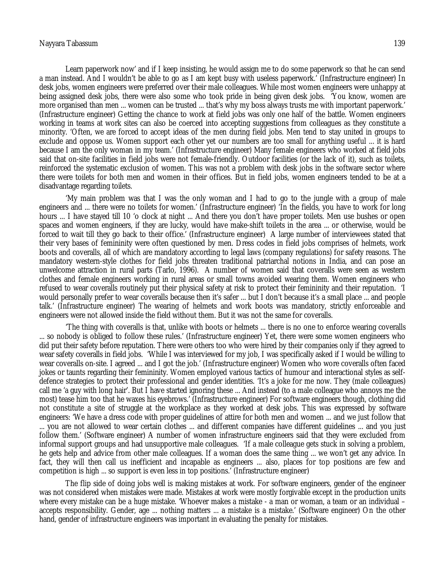#### Nayyara Tabassum 139

Learn paperwork now' and if I keep insisting, he would assign me to do some paperwork so that he can send a man instead. And I wouldn't be able to go as I am kept busy with useless paperwork.' (Infrastructure engineer) In desk jobs, women engineers were preferred over their male colleagues. While most women engineers were unhappy at being assigned desk jobs, there were also some who took pride in being given desk jobs. 'You know, women are more organised than men ... women can be trusted ... that's why my boss always trusts me with important paperwork.' (Infrastructure engineer) Getting the chance to work at field jobs was only one half of the battle. Women engineers working in teams at work sites can also be coerced into accepting suggestions from colleagues as they constitute a minority. 'Often, we are forced to accept ideas of the men during field jobs. Men tend to stay united in groups to exclude and oppose us. Women support each other yet our numbers are too small for anything useful ... it is hard because I am the only woman in my team.' (Infrastructure engineer) Many female engineers who worked at field jobs said that on-site facilities in field jobs were not female-friendly. Outdoor facilities (or the lack of it), such as toilets, reinforced the systematic exclusion of women. This was not a problem with desk jobs in the software sector where there were toilets for both men and women in their offices. But in field jobs, women engineers tended to be at a disadvantage regarding toilets.

'My main problem was that I was the only woman and I had to go to the jungle with a group of male engineers and ... there were no toilets for women.' (Infrastructure engineer) 'In the fields, you have to work for long hours ... I have stayed till 10 'o clock at night ... And there you don't have proper toilets. Men use bushes or open spaces and women engineers, if they are lucky, would have make-shift toilets in the area ... or otherwise, would be forced to wait till they go back to their office.' (Infrastructure engineer) A large number of interviewees stated that their very bases of femininity were often questioned by men. Dress codes in field jobs comprises of helmets, work boots and coveralls, all of which are mandatory according to legal laws (company regulations) for safety reasons. The mandatory western-style clothes for field jobs threaten traditional patriarchal notions in India, and can pose an unwelcome attraction in rural parts (Tarlo, 1996). A number of women said that coveralls were seen as western clothes and female engineers working in rural areas or small towns avoided wearing them. Women engineers who refused to wear coveralls routinely put their physical safety at risk to protect their femininity and their reputation. 'I would personally prefer to wear coveralls because then it's safer ... but I don't because it's a small place ... and people talk.' (Infrastructure engineer) The wearing of helmets and work boots was mandatory, strictly enforceable and engineers were not allowed inside the field without them. But it was not the same for coveralls.

'The thing with coveralls is that, unlike with boots or helmets ... there is no one to enforce wearing coveralls ... so nobody is obliged to follow these rules.' (Infrastructure engineer) Yet, there were some women engineers who did put their safety before reputation. There were others too who were hired by their companies only if they agreed to wear safety coveralls in field jobs. 'While I was interviewed for my job, I was specifically asked if I would be willing to wear coveralls on-site. I agreed ... and I got the job.' (Infrastructure engineer) Women who wore coveralls often faced jokes or taunts regarding their femininity. Women employed various tactics of humour and interactional styles as selfdefence strategies to protect their professional and gender identities. 'It's a joke for me now. They (male colleagues) call me 'a guy with long hair'. But I have started ignoring these ... And instead (to a male colleague who annoys me the most) tease him too that he waxes his eyebrows.' (Infrastructure engineer) For software engineers though, clothing did not constitute a site of struggle at the workplace as they worked at desk jobs. This was expressed by software engineers: 'We have a dress code with proper guidelines of attire for both men and women ... and we just follow that ... you are not allowed to wear certain clothes ... and different companies have different guidelines ... and you just follow them.' (Software engineer) A number of women infrastructure engineers said that they were excluded from informal support groups and had unsupportive male colleagues. 'If a male colleague gets stuck in solving a problem, he gets help and advice from other male colleagues. If a woman does the same thing ... we won't get any advice. In fact, they will then call us inefficient and incapable as engineers ... also, places for top positions are few and competition is high ... so support is even less in top positions.' (Infrastructure engineer)

The flip side of doing jobs well is making mistakes at work. For software engineers, gender of the engineer was not considered when mistakes were made. Mistakes at work were mostly forgivable except in the production units where every mistake can be a huge mistake. 'Whoever makes a mistake - a man or woman, a team or an individual – accepts responsibility. Gender, age ... nothing matters ... a mistake is a mistake.' (Software engineer) On the other hand, gender of infrastructure engineers was important in evaluating the penalty for mistakes.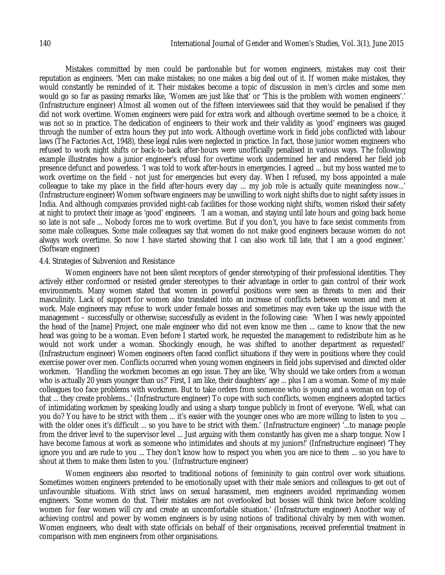Mistakes committed by men could be pardonable but for women engineers, mistakes may cost their reputation as engineers. 'Men can make mistakes; no one makes a big deal out of it. If women make mistakes, they would constantly be reminded of it. Their mistakes become a topic of discussion in men's circles and some men would go so far as passing remarks like, 'Women are just like that' or 'This is the problem with women engineers'.' (Infrastructure engineer) Almost all women out of the fifteen interviewees said that they would be penalised if they did not work overtime. Women engineers were paid for extra work and although overtime seemed to be a choice, it was not so in practice. The dedication of engineers to their work and their validity as 'good' engineers was gauged through the number of extra hours they put into work. Although overtime work in field jobs conflicted with labour laws (The Factories Act, 1948), these legal rules were neglected in practice. In fact, those junior women engineers who refused to work night shifts or back-to-back after-hours were unofficially penalised in various ways. The following example illustrates how a junior engineer's refusal for overtime work undermined her and rendered her field job presence defunct and powerless. 'I was told to work after-hours in emergencies. I agreed ... but my boss wanted me to work overtime on the field - not just for emergencies but every day. When I refused, my boss appointed a male colleague to take my place in the field after-hours every day ... my job role is actually quite meaningless now...' (Infrastructure engineer) Women software engineers may be unwilling to work night shifts due to night safety issues in India. And although companies provided night-cab facilities for those working night shifts, women risked their safety at night to protect their image as 'good' engineers. 'I am a woman, and staying until late hours and going back home so late is not safe ... Nobody forces me to work overtime. But if you don't, you have to face sexist comments from some male colleagues. Some male colleagues say that women do not make good engineers because women do not always work overtime. So now I have started showing that I can also work till late, that I am a good engineer.' (Software engineer)

#### 4.4. Strategies of Subversion and Resistance

Women engineers have not been silent receptors of gender stereotyping of their professional identities. They actively either conformed or resisted gender stereotypes to their advantage in order to gain control of their work environments. Many women stated that women in powerful positions were seen as threats to men and their masculinity. Lack of support for women also translated into an increase of conflicts between women and men at work. Male engineers may refuse to work under female bosses and sometimes may even take up the issue with the management – successfully or otherwise; successfully as evident in the following case: 'When I was newly appointed the head of the [name] Project, one male engineer who did not even know me then ... came to know that the new head was going to be a woman. Even before I started work, he requested the management to redistribute him as he would not work under a woman. Shockingly enough, he was shifted to another department as requested!' (Infrastructure engineer) Women engineers often faced conflict situations if they were in positions where they could exercise power over men. Conflicts occurred when young women engineers in field jobs supervised and directed older workmen. 'Handling the workmen becomes an ego issue. They are like, 'Why should we take orders from a woman who is actually 20 years younger than us?' First, I am like, their daughters' age ... plus I am a woman. Some of my male colleagues too face problems with workmen. But to take orders from someone who is young and a woman on top of that ... they create problems...' (Infrastructure engineer) To cope with such conflicts, women engineers adopted tactics of intimidating workmen by speaking loudly and using a sharp tongue publicly in front of everyone. 'Well, what can you do? You have to be strict with them ... it's easier with the younger ones who are more willing to listen to you ... with the older ones it's difficult ... so you have to be strict with them.' (Infrastructure engineer) '...to manage people from the driver level to the supervisor level ... Just arguing with them constantly has given me a sharp tongue. Now I have become famous at work as someone who intimidates and shouts at my juniors!' (Infrastructure engineer) 'They ignore you and are rude to you ... They don't know how to respect you when you are nice to them ... so you have to shout at them to make them listen to you.' (Infrastructure engineer)

Women engineers also resorted to traditional notions of femininity to gain control over work situations. Sometimes women engineers pretended to be emotionally upset with their male seniors and colleagues to get out of unfavourable situations. With strict laws on sexual harassment, men engineers avoided reprimanding women engineers. 'Some women do that. Their mistakes are not overlooked but bosses will think twice before scolding women for fear women will cry and create an uncomfortable situation.' (Infrastructure engineer) Another way of achieving control and power by women engineers is by using notions of traditional chivalry by men with women. Women engineers, who dealt with state officials on behalf of their organisations, received preferential treatment in comparison with men engineers from other organisations.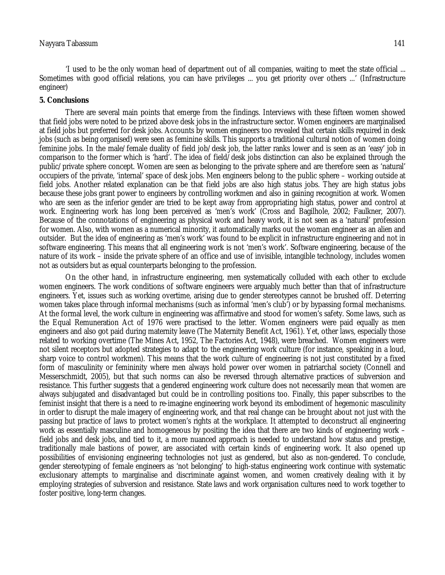'I used to be the only woman head of department out of all companies, waiting to meet the state official ... Sometimes with good official relations, you can have privileges ... you get priority over others ...' (Infrastructure engineer)

### **5. Conclusions**

There are several main points that emerge from the findings. Interviews with these fifteen women showed that field jobs were noted to be prized above desk jobs in the infrastructure sector. Women engineers are marginalised at field jobs but preferred for desk jobs. Accounts by women engineers too revealed that certain skills required in desk jobs (such as being organised) were seen as feminine skills. This supports a traditional cultural notion of women doing feminine jobs. In the male/female duality of field job/desk job, the latter ranks lower and is seen as an 'easy' job in comparison to the former which is 'hard'. The idea of field/desk jobs distinction can also be explained through the public/private sphere concept. Women are seen as belonging to the private sphere and are therefore seen as 'natural' occupiers of the private, 'internal' space of desk jobs. Men engineers belong to the public sphere – working outside at field jobs. Another related explanation can be that field jobs are also high status jobs. They are high status jobs because these jobs grant power to engineers by controlling workmen and also in gaining recognition at work. Women who are seen as the inferior gender are tried to be kept away from appropriating high status, power and control at work. Engineering work has long been perceived as 'men's work' (Cross and Bagilhole, 2002; Faulkner, 2007). Because of the connotations of engineering as physical work and heavy work, it is not seen as a 'natural' profession for women. Also, with women as a numerical minority, it automatically marks out the woman engineer as an alien and outsider. But the idea of engineering as 'men's work' was found to be explicit in infrastructure engineering and not in software engineering. This means that all engineering work is not 'men's work'. Software engineering, because of the nature of its work – inside the private sphere of an office and use of invisible, intangible technology, includes women not as outsiders but as equal counterparts belonging to the profession.

On the other hand, in infrastructure engineering, men systematically colluded with each other to exclude women engineers. The work conditions of software engineers were arguably much better than that of infrastructure engineers. Yet, issues such as working overtime, arising due to gender stereotypes cannot be brushed off. Deterring women takes place through informal mechanisms (such as informal 'men's club') or by bypassing formal mechanisms. At the formal level, the work culture in engineering was affirmative and stood for women's safety. Some laws, such as the Equal Remuneration Act of 1976 were practised to the letter. Women engineers were paid equally as men engineers and also got paid during maternity leave (The Maternity Benefit Act, 1961). Yet, other laws, especially those related to working overtime (The Mines Act, 1952, The Factories Act, 1948), were breached. Women engineers were not silent receptors but adopted strategies to adapt to the engineering work culture (for instance, speaking in a loud, sharp voice to control workmen). This means that the work culture of engineering is not just constituted by a fixed form of masculinity or femininity where men always hold power over women in patriarchal society (Connell and Messerschmidt, 2005), but that such norms can also be reversed through alternative practices of subversion and resistance. This further suggests that a gendered engineering work culture does not necessarily mean that women are always subjugated and disadvantaged but could be in controlling positions too. Finally, this paper subscribes to the feminist insight that there is a need to re-imagine engineering work beyond its embodiment of hegemonic masculinity in order to disrupt the male imagery of engineering work, and that real change can be brought about not just with the passing but practice of laws to protect women's rights at the workplace. It attempted to deconstruct all engineering work as essentially masculine and homogeneous by positing the idea that there are two kinds of engineering work – field jobs and desk jobs, and tied to it, a more nuanced approach is needed to understand how status and prestige, traditionally male bastions of power, are associated with certain kinds of engineering work. It also opened up possibilities of envisioning engineering technologies not just as gendered, but also as non-gendered. To conclude, gender stereotyping of female engineers as 'not belonging' to high-status engineering work continue with systematic exclusionary attempts to marginalise and discriminate against women, and women creatively dealing with it by employing strategies of subversion and resistance. State laws and work organisation cultures need to work together to foster positive, long-term changes.